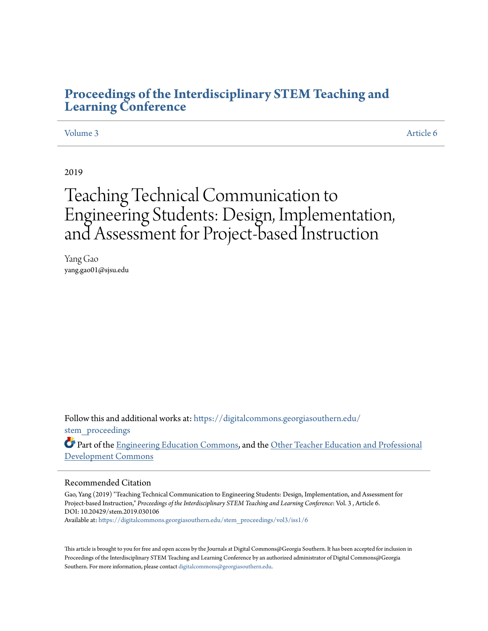## **[Proceedings of the Interdisciplinary STEM Teaching and](https://digitalcommons.georgiasouthern.edu/stem_proceedings?utm_source=digitalcommons.georgiasouthern.edu%2Fstem_proceedings%2Fvol3%2Fiss1%2F6&utm_medium=PDF&utm_campaign=PDFCoverPages) [Learning Conference](https://digitalcommons.georgiasouthern.edu/stem_proceedings?utm_source=digitalcommons.georgiasouthern.edu%2Fstem_proceedings%2Fvol3%2Fiss1%2F6&utm_medium=PDF&utm_campaign=PDFCoverPages)**

## [Volume 3](https://digitalcommons.georgiasouthern.edu/stem_proceedings/vol3?utm_source=digitalcommons.georgiasouthern.edu%2Fstem_proceedings%2Fvol3%2Fiss1%2F6&utm_medium=PDF&utm_campaign=PDFCoverPages) [Article 6](https://digitalcommons.georgiasouthern.edu/stem_proceedings/vol3/iss1/6?utm_source=digitalcommons.georgiasouthern.edu%2Fstem_proceedings%2Fvol3%2Fiss1%2F6&utm_medium=PDF&utm_campaign=PDFCoverPages)

2019

# Teaching Technical Communication to Engineering Students: Design, Implementation, and Assessment for Project-based Instruction

Yang Gao yang.gao01@sjsu.edu

Follow this and additional works at: [https://digitalcommons.georgiasouthern.edu/](https://digitalcommons.georgiasouthern.edu/stem_proceedings?utm_source=digitalcommons.georgiasouthern.edu%2Fstem_proceedings%2Fvol3%2Fiss1%2F6&utm_medium=PDF&utm_campaign=PDFCoverPages) stem proceedings

Part of the [Engineering Education Commons](http://network.bepress.com/hgg/discipline/1191?utm_source=digitalcommons.georgiasouthern.edu%2Fstem_proceedings%2Fvol3%2Fiss1%2F6&utm_medium=PDF&utm_campaign=PDFCoverPages), and the [Other Teacher Education and Professional](http://network.bepress.com/hgg/discipline/810?utm_source=digitalcommons.georgiasouthern.edu%2Fstem_proceedings%2Fvol3%2Fiss1%2F6&utm_medium=PDF&utm_campaign=PDFCoverPages) [Development Commons](http://network.bepress.com/hgg/discipline/810?utm_source=digitalcommons.georgiasouthern.edu%2Fstem_proceedings%2Fvol3%2Fiss1%2F6&utm_medium=PDF&utm_campaign=PDFCoverPages)

#### Recommended Citation

Gao, Yang (2019) "Teaching Technical Communication to Engineering Students: Design, Implementation, and Assessment for Project-based Instruction," *Proceedings of the Interdisciplinary STEM Teaching and Learning Conference*: Vol. 3 , Article 6. DOI: 10.20429/stem.2019.030106 Available at: [https://digitalcommons.georgiasouthern.edu/stem\\_proceedings/vol3/iss1/6](https://digitalcommons.georgiasouthern.edu/stem_proceedings/vol3/iss1/6?utm_source=digitalcommons.georgiasouthern.edu%2Fstem_proceedings%2Fvol3%2Fiss1%2F6&utm_medium=PDF&utm_campaign=PDFCoverPages)

This article is brought to you for free and open access by the Journals at Digital Commons@Georgia Southern. It has been accepted for inclusion in Proceedings of the Interdisciplinary STEM Teaching and Learning Conference by an authorized administrator of Digital Commons@Georgia Southern. For more information, please contact [digitalcommons@georgiasouthern.edu.](mailto:digitalcommons@georgiasouthern.edu)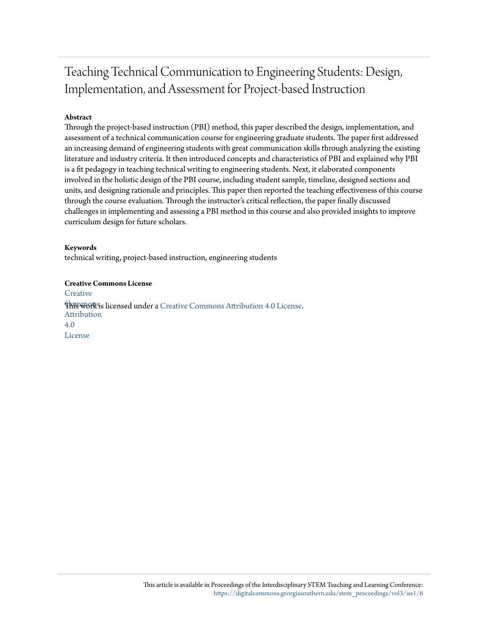## Teaching Technical Communication to Engineering Students: Design, Implementation, and Assessment for Project-based Instruction

## **Abstract**

Through the project-based instruction (PBI) method, this paper described the design, implementation, and assessment of a technical communication course for engineering graduate students. The paper first addressed an increasing demand of engineering students with great communication skills through analyzing the existing literature and industry criteria. It then introduced concepts and characteristics of PBI and explained why PBI is a fit pedagogy in teaching technical writing to engineering students. Next, it elaborated components involved in the holistic design of the PBI course, including student sample, timeline, designed sections and units, and designing rationale and principles. This paper then reported the teaching effectiveness of this course through the course evaluation. Through the instructor's critical reflection, the paper finally discussed challenges in implementing and assessing a PBI method in this course and also provided insights to improve curriculum design for future scholars.

## **Keywords**

technical writing, project-based instruction, engineering students

**Creative Commons License [Creative](http://creativecommons.org/licenses/by/4.0/) This work is licensed under a** [Creative Commons Attribution 4.0 License.](http://creativecommons.org/licenses/by/4.0/) Attribution 4.0 License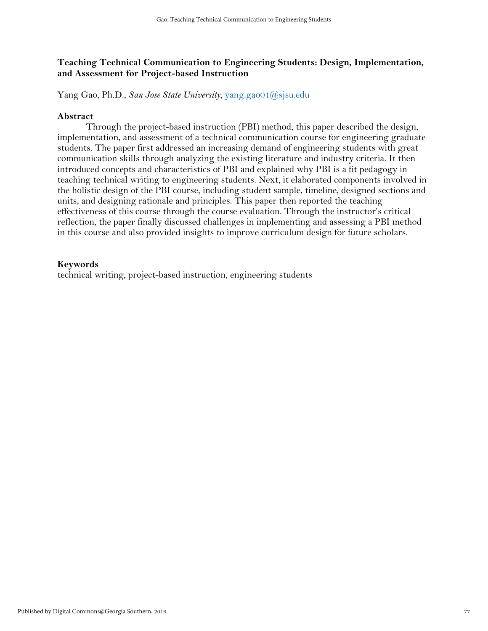## **Teaching Technical Communication to Engineering Students: Design, Implementation, and Assessment for Project-based Instruction**

Yang Gao, Ph.D., *San Jose State University*, [yang.gao01@sjsu.edu](mailto:yang.gao01@sjsu.edu)

## **Abstract**

Through the project-based instruction (PBI) method, this paper described the design, implementation, and assessment of a technical communication course for engineering graduate students. The paper first addressed an increasing demand of engineering students with great communication skills through analyzing the existing literature and industry criteria. It then introduced concepts and characteristics of PBI and explained why PBI is a fit pedagogy in teaching technical writing to engineering students. Next, it elaborated components involved in the holistic design of the PBI course, including student sample, timeline, designed sections and units, and designing rationale and principles. This paper then reported the teaching effectiveness of this course through the course evaluation. Through the instructor's critical reflection, the paper finally discussed challenges in implementing and assessing a PBI method in this course and also provided insights to improve curriculum design for future scholars.

## **Keywords**

technical writing, project-based instruction, engineering students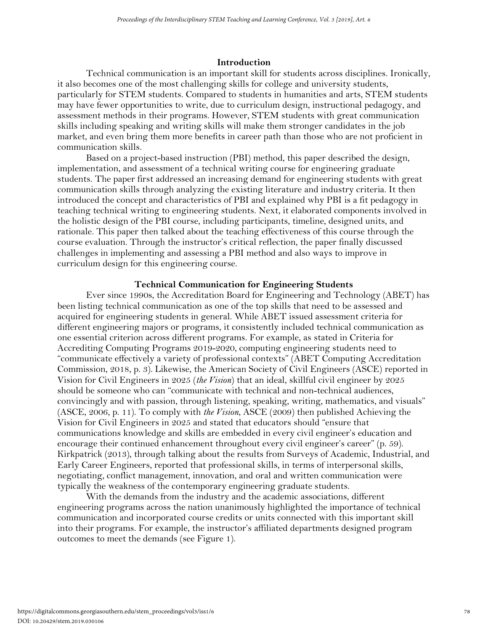## **Introduction**

Technical communication is an important skill for students across disciplines. Ironically, it also becomes one of the most challenging skills for college and university students, particularly for STEM students. Compared to students in humanities and arts, STEM students may have fewer opportunities to write, due to curriculum design, instructional pedagogy, and assessment methods in their programs. However, STEM students with great communication skills including speaking and writing skills will make them stronger candidates in the job market, and even bring them more benefits in career path than those who are not proficient in communication skills.

Based on a project-based instruction (PBI) method, this paper described the design, implementation, and assessment of a technical writing course for engineering graduate students. The paper first addressed an increasing demand for engineering students with great communication skills through analyzing the existing literature and industry criteria. It then introduced the concept and characteristics of PBI and explained why PBI is a fit pedagogy in teaching technical writing to engineering students. Next, it elaborated components involved in the holistic design of the PBI course, including participants, timeline, designed units, and rationale. This paper then talked about the teaching effectiveness of this course through the course evaluation. Through the instructor's critical reflection, the paper finally discussed challenges in implementing and assessing a PBI method and also ways to improve in curriculum design for this engineering course.

## **Technical Communication for Engineering Students**

Ever since 1990s, the Accreditation Board for Engineering and Technology (ABET) has been listing technical communication as one of the top skills that need to be assessed and acquired for engineering students in general. While ABET issued assessment criteria for different engineering majors or programs, it consistently included technical communication as one essential criterion across different programs. For example, as stated in Criteria for Accrediting Computing Programs 2019-2020, computing engineering students need to "communicate effectively a variety of professional contexts" (ABET Computing Accreditation Commission, 2018, p. 3). Likewise, the American Society of Civil Engineers (ASCE) reported in Vision for Civil Engineers in 2025 (*the Vision*) that an ideal, skillful civil engineer by 2025 should be someone who can "communicate with technical and non-technical audiences, convincingly and with passion, through listening, speaking, writing, mathematics, and visuals" (ASCE, 2006, p. 11). To comply with *the Vision*, ASCE (2009) then published Achieving the Vision for Civil Engineers in 2025 and stated that educators should "ensure that communications knowledge and skills are embedded in every civil engineer's education and encourage their continued enhancement throughout every civil engineer's career" (p. 59). Kirkpatrick (2013), through talking about the results from Surveys of Academic, Industrial, and Early Career Engineers, reported that professional skills, in terms of interpersonal skills, negotiating, conflict management, innovation, and oral and written communication were typically the weakness of the contemporary engineering graduate students.

With the demands from the industry and the academic associations, different engineering programs across the nation unanimously highlighted the importance of technical communication and incorporated course credits or units connected with this important skill into their programs. For example, the instructor's affiliated departments designed program outcomes to meet the demands (see Figure 1).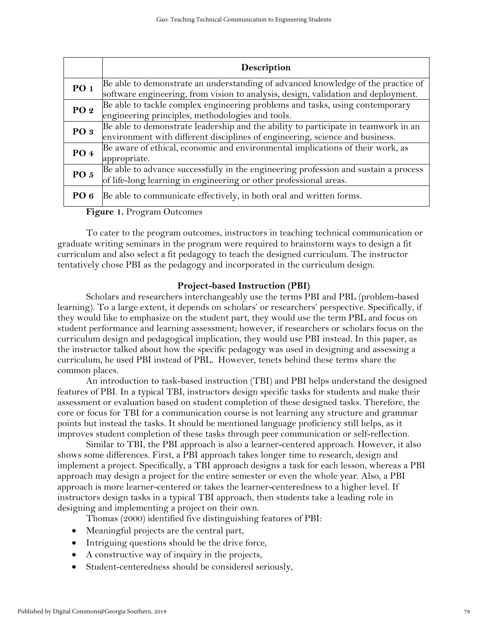|                        | Description                                                                                                                                                           |
|------------------------|-----------------------------------------------------------------------------------------------------------------------------------------------------------------------|
| PO 1                   | Be able to demonstrate an understanding of advanced knowledge of the practice of<br>software engineering, from vision to analysis, design, validation and deployment. |
| PO 2                   | Be able to tackle complex engineering problems and tasks, using contemporary<br>engineering principles, methodologies and tools.                                      |
| PO <sub>3</sub>        | Be able to demonstrate leadership and the ability to participate in teamwork in an<br>environment with different disciplines of engineering, science and business.    |
| PO 4                   | Be aware of ethical, economic and environmental implications of their work, as<br>appropriate.                                                                        |
| <b>PO 5</b>            | Be able to advance successfully in the engineering profession and sustain a process<br>of life-long learning in engineering or other professional areas.              |
| PO 6<br>$\blacksquare$ | Be able to communicate effectively, in both oral and written forms.                                                                                                   |

**Figure 1.** Program Outcomes

To cater to the program outcomes, instructors in teaching technical communication or graduate writing seminars in the program were required to brainstorm ways to design a fit curriculum and also select a fit pedagogy to teach the designed curriculum. The instructor tentatively chose PBI as the pedagogy and incorporated in the curriculum design.

## **Project-based Instruction (PBI)**

Scholars and researchers interchangeably use the terms PBI and PBL (problem-based learning). To a large extent, it depends on scholars' or researchers' perspective. Specifically, if they would like to emphasize on the student part, they would use the term PBL and focus on student performance and learning assessment; however, if researchers or scholars focus on the curriculum design and pedagogical implication, they would use PBI instead. In this paper, as the instructor talked about how the specific pedagogy was used in designing and assessing a curriculum, he used PBI instead of PBL. However, tenets behind these terms share the common places.

An introduction to task-based instruction (TBI) and PBI helps understand the designed features of PBI. In a typical TBI, instructors design specific tasks for students and make their assessment or evaluation based on student completion of these designed tasks. Therefore, the core or focus for TBI for a communication course is not learning any structure and grammar points but instead the tasks. It should be mentioned language proficiency still helps, as it improves student completion of these tasks through peer communication or self-reflection.

Similar to TBI, the PBI approach is also a learner-centered approach. However, it also shows some differences. First, a PBI approach takes longer time to research, design and implement a project. Specifically, a TBI approach designs a task for each lesson, whereas a PBI approach may design a project for the entire semester or even the whole year. Also, a PBI approach is more learner-centered or takes the learner-centeredness to a higher level. If instructors design tasks in a typical TBI approach, then students take a leading role in designing and implementing a project on their own.

Thomas (2000) identified five distinguishing features of PBI:

- Meaningful projects are the central part,
- Intriguing questions should be the drive force,
- A constructive way of inquiry in the projects,
- Student-centeredness should be considered seriously,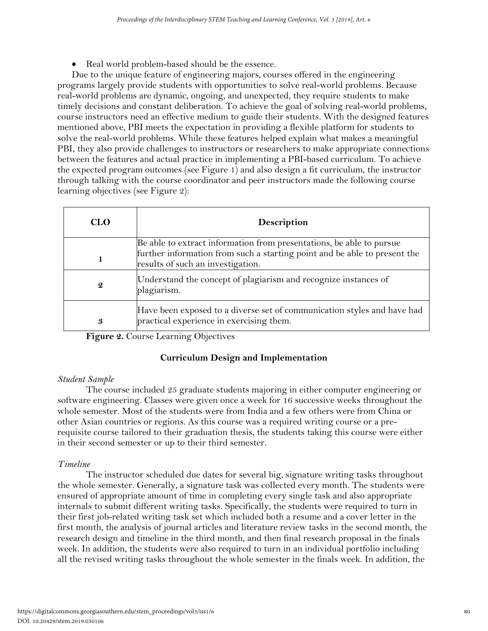• Real world problem-based should be the essence.

Due to the unique feature of engineering majors, courses offered in the engineering programs largely provide students with opportunities to solve real-world problems. Because real-world problems are dynamic, ongoing, and unexpected, they require students to make timely decisions and constant deliberation. To achieve the goal of solving real-world problems, course instructors need an effective medium to guide their students. With the designed features mentioned above, PBI meets the expectation in providing a flexible platform for students to solve the real-world problems. While these features helped explain what makes a meaningful PBI, they also provide challenges to instructors or researchers to make appropriate connections between the features and actual practice in implementing a PBI-based curriculum. To achieve the expected program outcomes (see Figure 1) and also design a fit curriculum, the instructor through talking with the course coordinator and peer instructors made the following course learning objectives (see Figure 2):

| <b>CLO</b>       | <b>Description</b>                                                                                                  |  |  |  |  |  |
|------------------|---------------------------------------------------------------------------------------------------------------------|--|--|--|--|--|
|                  | Be able to extract information from presentations, be able to pursue                                                |  |  |  |  |  |
|                  | further information from such a starting point and be able to present the<br>results of such an investigation.      |  |  |  |  |  |
| $\boldsymbol{2}$ | Understand the concept of plagiarism and recognize instances of<br>plagiarism.                                      |  |  |  |  |  |
| 3                | Have been exposed to a diverse set of communication styles and have had<br>practical experience in exercising them. |  |  |  |  |  |

**Figure 2.** Course Learning Objectives

## **Curriculum Design and Implementation**

## *Student Sample*

The course included 25 graduate students majoring in either computer engineering or software engineering. Classes were given once a week for 16 successive weeks throughout the whole semester. Most of the students were from India and a few others were from China or other Asian countries or regions. As this course was a required writing course or a prerequisite course tailored to their graduation thesis, the students taking this course were either in their second semester or up to their third semester.

## *Timeline*

The instructor scheduled due dates for several big, signature writing tasks throughout the whole semester. Generally, a signature task was collected every month. The students were ensured of appropriate amount of time in completing every single task and also appropriate internals to submit different writing tasks. Specifically, the students were required to turn in their first job-related writing task set which included both a resume and a cover letter in the first month, the analysis of journal articles and literature review tasks in the second month, the research design and timeline in the third month, and then final research proposal in the finals week. In addition, the students were also required to turn in an individual portfolio including all the revised writing tasks throughout the whole semester in the finals week. In addition, the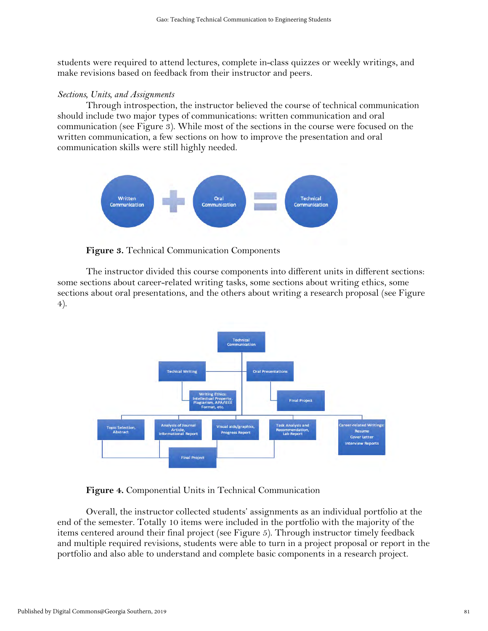students were required to attend lectures, complete in-class quizzes or weekly writings, and make revisions based on feedback from their instructor and peers.

#### *Sections, Units, and Assignments*

Through introspection, the instructor believed the course of technical communication should include two major types of communications: written communication and oral communication (see Figure 3). While most of the sections in the course were focused on the written communication, a few sections on how to improve the presentation and oral communication skills were still highly needed.



**Figure 3.** Technical Communication Components

The instructor divided this course components into different units in different sections: some sections about career-related writing tasks, some sections about writing ethics, some sections about oral presentations, and the others about writing a research proposal (see Figure 4).



## **Figure 4.** Componential Units in Technical Communication

Overall, the instructor collected students' assignments as an individual portfolio at the end of the semester. Totally 10 items were included in the portfolio with the majority of the items centered around their final project (see Figure 5). Through instructor timely feedback and multiple required revisions, students were able to turn in a project proposal or report in the portfolio and also able to understand and complete basic components in a research project.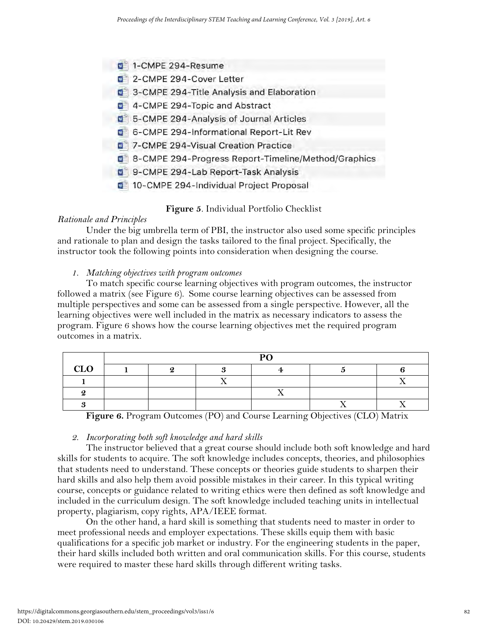- 1-CMPE 294-Resume
- 2-CMPE 294-Cover Letter
- 3-CMPE 294-Title Analysis and Elaboration
- 4-CMPE 294-Topic and Abstract
- 5-CMPE 294-Analysis of Journal Articles
- 6-CMPE 294-Informational Report-Lit Rev
- 7-CMPE 294-Visual Creation Practice
- 8-CMPE 294-Progress Report-Timeline/Method/Graphics
- 9-CMPE 294-Lab Report-Task Analysis
- 10-CMPE 294-Individual Project Proposal

**Figure 5**. Individual Portfolio Checklist

## *Rationale and Principles*

Under the big umbrella term of PBI, the instructor also used some specific principles and rationale to plan and design the tasks tailored to the final project. Specifically, the instructor took the following points into consideration when designing the course.

## *1. Matching objectives with program outcomes*

To match specific course learning objectives with program outcomes, the instructor followed a matrix (see Figure 6). Some course learning objectives can be assessed from multiple perspectives and some can be assessed from a single perspective. However, all the learning objectives were well included in the matrix as necessary indicators to assess the program. Figure 6 shows how the course learning objectives met the required program outcomes in a matrix.

|     | $\mathbf{D}\Omega$ |  |  |  |  |  |  |  |  |
|-----|--------------------|--|--|--|--|--|--|--|--|
| CLO |                    |  |  |  |  |  |  |  |  |
|     |                    |  |  |  |  |  |  |  |  |
|     |                    |  |  |  |  |  |  |  |  |
|     |                    |  |  |  |  |  |  |  |  |

**Figure 6.** Program Outcomes (PO) and Course Learning Objectives (CLO) Matrix

## *2. Incorporating both soft knowledge and hard skills*

The instructor believed that a great course should include both soft knowledge and hard skills for students to acquire. The soft knowledge includes concepts, theories, and philosophies that students need to understand. These concepts or theories guide students to sharpen their hard skills and also help them avoid possible mistakes in their career. In this typical writing course, concepts or guidance related to writing ethics were then defined as soft knowledge and included in the curriculum design. The soft knowledge included teaching units in intellectual property, plagiarism, copy rights, APA/IEEE format.

On the other hand, a hard skill is something that students need to master in order to meet professional needs and employer expectations. These skills equip them with basic qualifications for a specific job market or industry. For the engineering students in the paper, their hard skills included both written and oral communication skills. For this course, students were required to master these hard skills through different writing tasks.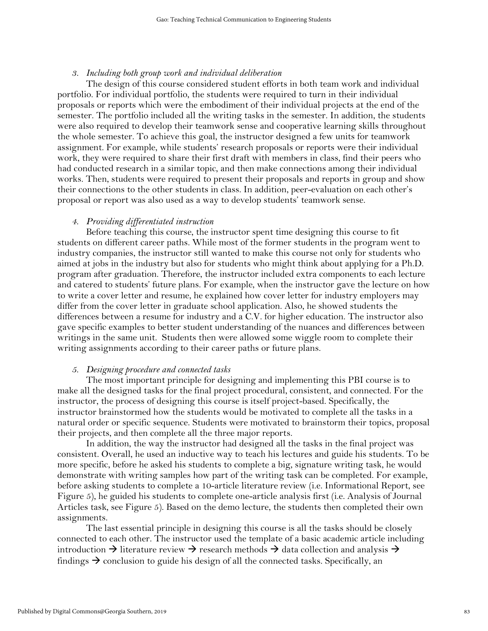#### *3. Including both group work and individual deliberation*

The design of this course considered student efforts in both team work and individual portfolio. For individual portfolio, the students were required to turn in their individual proposals or reports which were the embodiment of their individual projects at the end of the semester. The portfolio included all the writing tasks in the semester. In addition, the students were also required to develop their teamwork sense and cooperative learning skills throughout the whole semester. To achieve this goal, the instructor designed a few units for teamwork assignment. For example, while students' research proposals or reports were their individual work, they were required to share their first draft with members in class, find their peers who had conducted research in a similar topic, and then make connections among their individual works. Then, students were required to present their proposals and reports in group and show their connections to the other students in class. In addition, peer-evaluation on each other's proposal or report was also used as a way to develop students' teamwork sense.

### *4. Providing differentiated instruction*

Before teaching this course, the instructor spent time designing this course to fit students on different career paths. While most of the former students in the program went to industry companies, the instructor still wanted to make this course not only for students who aimed at jobs in the industry but also for students who might think about applying for a Ph.D. program after graduation. Therefore, the instructor included extra components to each lecture and catered to students' future plans. For example, when the instructor gave the lecture on how to write a cover letter and resume, he explained how cover letter for industry employers may differ from the cover letter in graduate school application. Also, he showed students the differences between a resume for industry and a C.V. for higher education. The instructor also gave specific examples to better student understanding of the nuances and differences between writings in the same unit. Students then were allowed some wiggle room to complete their writing assignments according to their career paths or future plans.

#### *5. Designing procedure and connected tasks*

The most important principle for designing and implementing this PBI course is to make all the designed tasks for the final project procedural, consistent, and connected. For the instructor, the process of designing this course is itself project-based. Specifically, the instructor brainstormed how the students would be motivated to complete all the tasks in a natural order or specific sequence. Students were motivated to brainstorm their topics, proposal their projects, and then complete all the three major reports.

In addition, the way the instructor had designed all the tasks in the final project was consistent. Overall, he used an inductive way to teach his lectures and guide his students. To be more specific, before he asked his students to complete a big, signature writing task, he would demonstrate with writing samples how part of the writing task can be completed. For example, before asking students to complete a 10-article literature review (i.e. Informational Report, see Figure 5), he guided his students to complete one-article analysis first (i.e. Analysis of Journal Articles task, see Figure 5). Based on the demo lecture, the students then completed their own assignments.

The last essential principle in designing this course is all the tasks should be closely connected to each other. The instructor used the template of a basic academic article including introduction  $\rightarrow$  literature review  $\rightarrow$  research methods  $\rightarrow$  data collection and analysis  $\rightarrow$ findings  $\rightarrow$  conclusion to guide his design of all the connected tasks. Specifically, an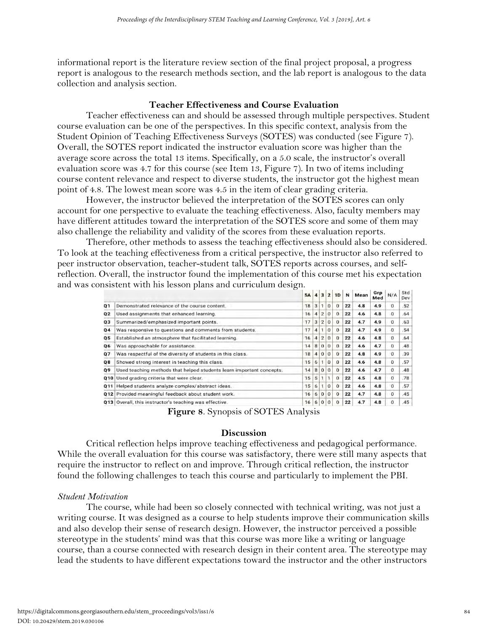informational report is the literature review section of the final project proposal, a progress report is analogous to the research methods section, and the lab report is analogous to the data collection and analysis section.

## **Teacher Effectiveness and Course Evaluation**

Teacher effectiveness can and should be assessed through multiple perspectives. Student course evaluation can be one of the perspectives. In this specific context, analysis from the Student Opinion of Teaching Effectiveness Surveys (SOTES) was conducted (see Figure 7). Overall, the SOTES report indicated the instructor evaluation score was higher than the average score across the total 13 items. Specifically, on a 5.0 scale, the instructor's overall evaluation score was 4.7 for this course (see Item 13, Figure 7). In two of items including course content relevance and respect to diverse students, the instructor got the highest mean point of 4.8. The lowest mean score was 4.5 in the item of clear grading criteria.

However, the instructor believed the interpretation of the SOTES scores can only account for one perspective to evaluate the teaching effectiveness. Also, faculty members may have different attitudes toward the interpretation of the SOTES score and some of them may also challenge the reliability and validity of the scores from these evaluation reports.

Therefore, other methods to assess the teaching effectiveness should also be considered. To look at the teaching effectiveness from a critical perspective, the instructor also referred to peer instructor observation, teacher-student talk, SOTES reports across courses, and selfreflection. Overall, the instructor found the implementation of this course met his expectation and was consistent with his lesson plans and curriculum design.

|     |                                                                      | <b>5A</b> | 4 | 3              | $\overline{\mathbf{2}}$ | 1D           | N  | Mean | Grp<br>Med | N/A      | sta<br>Dev |
|-----|----------------------------------------------------------------------|-----------|---|----------------|-------------------------|--------------|----|------|------------|----------|------------|
| Q1  | Demonstrated relevance of the course content.                        | 18        | 3 | 1.             | $\mathbf{O}$            | $\Omega$     | 22 | 4.8  | 4.9        | 0        | .52        |
| Q2  | Used assignments that enhanced learning.                             | 16        | 4 | $\overline{2}$ | 0                       | $\Omega$     | 22 | 4.6  | 4.8        | 0        | .64        |
| Q3  | Summarized/emphasized important points.                              | 17        | 3 | $\overline{2}$ | 0                       | $\Omega$     | 22 | 4.7  | 4.9        | 0        | .63        |
| Q4  | Was responsive to questions and comments from students.              | 17        | 4 |                | 0                       | $\mathbf{0}$ | 22 | 4.7  | 4.9        | 0        | .54        |
| Q 5 | Established an atmosphere that facilitated learning.                 | 16        | 4 | $\overline{2}$ | 0                       | Ð            | 22 | 4.6  | 4.8        | 0        | .64        |
| Q6  | Was approachable for assistance.                                     | 14        | 8 | $\Omega$       | 0                       | $\Omega$     | 22 | 4.6  | 4.7        | 0        | .48        |
| 07  | Was respectful of the diversity of students in this class.           | 18        | 4 | $\Omega$       | $\Omega$                | $\Omega$     | 22 | 4.8  | 4.9        | 0        | .39        |
| 08  | Showed strong interest in teaching this class.                       | 15        | 6 | 1              | $\Omega$                | $\Omega$     | 22 | 4.6  | 4.8        | 0        | .57        |
| 09  | Used teaching methods that helped students learn important concepts. | 14        | 8 | 0              | $\Omega$                | $\Omega$     | 22 | 4.6  | 4.7        | $\Omega$ | .48        |
| Q10 | Used grading criteria that were clear.                               | 15        | 5 |                |                         | $\Omega$     | 22 | 4.5  | 4.8        | 0        | .78        |
| 011 | Helped students analyze complex/abstract ideas.                      | 15        | 6 |                | O                       | $\Omega$     | 22 | 4.6  | 4.8        | 0        | .57        |
| 012 | Provided meaningful feedback about student work.                     | 16        | 6 | $\Omega$       | $\Omega$                | $\Omega$     | 22 | 4.7  | 4.8        | 0        | .45        |
| 013 | Overall, this instructor's teaching was effective.                   | 16        | 6 | 0              | $\Omega$                | $\Omega$     | 22 | 4.7  | 4.8        | $\Omega$ | .45        |

**Figure 8**. Synopsis of SOTES Analysis

## **Discussion**

Critical reflection helps improve teaching effectiveness and pedagogical performance. While the overall evaluation for this course was satisfactory, there were still many aspects that require the instructor to reflect on and improve. Through critical reflection, the instructor found the following challenges to teach this course and particularly to implement the PBI.

## *Student Motivation*

The course, while had been so closely connected with technical writing, was not just a writing course. It was designed as a course to help students improve their communication skills and also develop their sense of research design. However, the instructor perceived a possible stereotype in the students' mind was that this course was more like a writing or language course, than a course connected with research design in their content area. The stereotype may lead the students to have different expectations toward the instructor and the other instructors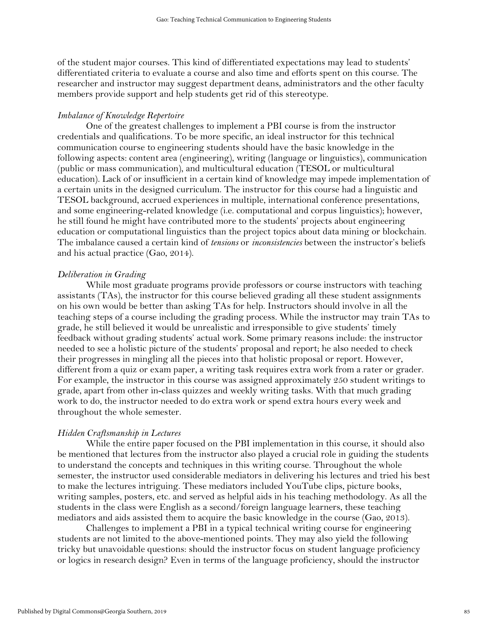of the student major courses. This kind of differentiated expectations may lead to students' differentiated criteria to evaluate a course and also time and efforts spent on this course. The researcher and instructor may suggest department deans, administrators and the other faculty members provide support and help students get rid of this stereotype.

### *Imbalance of Knowledge Repertoire*

One of the greatest challenges to implement a PBI course is from the instructor credentials and qualifications. To be more specific, an ideal instructor for this technical communication course to engineering students should have the basic knowledge in the following aspects: content area (engineering), writing (language or linguistics), communication (public or mass communication), and multicultural education (TESOL or multicultural education). Lack of or insufficient in a certain kind of knowledge may impede implementation of a certain units in the designed curriculum. The instructor for this course had a linguistic and TESOL background, accrued experiences in multiple, international conference presentations, and some engineering-related knowledge (i.e. computational and corpus linguistics); however, he still found he might have contributed more to the students' projects about engineering education or computational linguistics than the project topics about data mining or blockchain. The imbalance caused a certain kind of *tensions* or *inconsistencies* between the instructor's beliefs and his actual practice (Gao, 2014).

#### *Deliberation in Grading*

While most graduate programs provide professors or course instructors with teaching assistants (TAs), the instructor for this course believed grading all these student assignments on his own would be better than asking TAs for help. Instructors should involve in all the teaching steps of a course including the grading process. While the instructor may train TAs to grade, he still believed it would be unrealistic and irresponsible to give students' timely feedback without grading students' actual work. Some primary reasons include: the instructor needed to see a holistic picture of the students' proposal and report; he also needed to check their progresses in mingling all the pieces into that holistic proposal or report. However, different from a quiz or exam paper, a writing task requires extra work from a rater or grader. For example, the instructor in this course was assigned approximately 250 student writings to grade, apart from other in-class quizzes and weekly writing tasks. With that much grading work to do, the instructor needed to do extra work or spend extra hours every week and throughout the whole semester.

#### *Hidden Craftsmanship in Lectures*

While the entire paper focused on the PBI implementation in this course, it should also be mentioned that lectures from the instructor also played a crucial role in guiding the students to understand the concepts and techniques in this writing course. Throughout the whole semester, the instructor used considerable mediators in delivering his lectures and tried his best to make the lectures intriguing. These mediators included YouTube clips, picture books, writing samples, posters, etc. and served as helpful aids in his teaching methodology. As all the students in the class were English as a second/foreign language learners, these teaching mediators and aids assisted them to acquire the basic knowledge in the course (Gao, 2013).

Challenges to implement a PBI in a typical technical writing course for engineering students are not limited to the above-mentioned points. They may also yield the following tricky but unavoidable questions: should the instructor focus on student language proficiency or logics in research design? Even in terms of the language proficiency, should the instructor